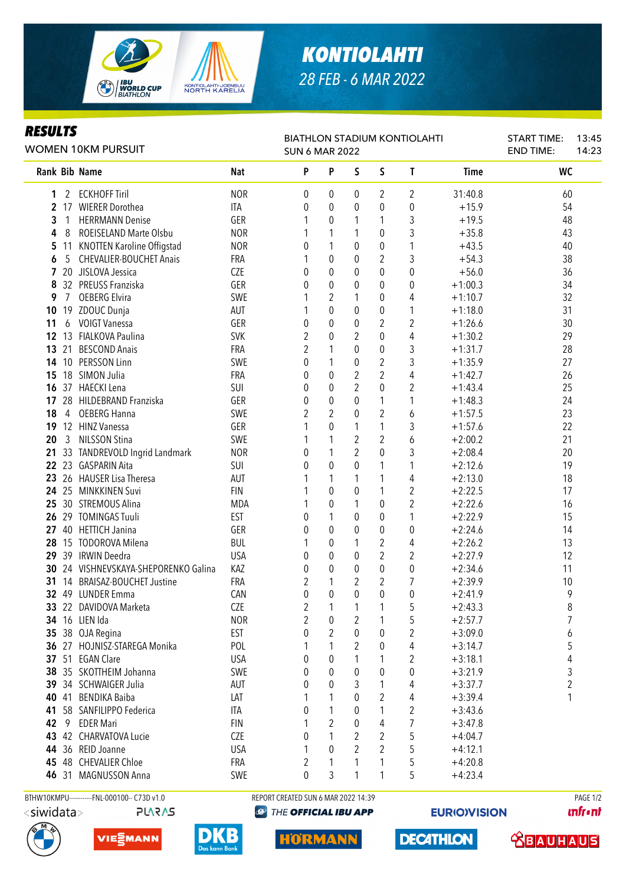

## *KONTIOLAHTI 28 FEB - 6 MAR 2022*

## *RESULTS*

| Kesulis<br><b>WOMEN 10KM PURSUIT</b> |                |                                      |            | <b>BIATHLON STADIUM KONTIOLAHTI</b><br><b>SUN 6 MAR 2022</b> |                  | <b>START TIME:</b><br><b>END TIME:</b> | 13:45<br>14:23 |                  |                        |                     |  |
|--------------------------------------|----------------|--------------------------------------|------------|--------------------------------------------------------------|------------------|----------------------------------------|----------------|------------------|------------------------|---------------------|--|
|                                      |                | Rank Bib Name                        | <b>Nat</b> | P                                                            | P                | S                                      | S              | T                | <b>Time</b>            | <b>WC</b>           |  |
| 1                                    | 2              | <b>ECKHOFF Tiril</b>                 | <b>NOR</b> | 0                                                            | $\boldsymbol{0}$ | 0                                      | 2              | 2                | 31:40.8                | 60                  |  |
| $\mathbf{2}$                         |                | 17 WIERER Dorothea                   | ITA        | 0                                                            | $\mathbf 0$      | 0                                      | 0              | $\boldsymbol{0}$ | $+15.9$                | 54                  |  |
| 3                                    | 1              | <b>HERRMANN Denise</b>               | GER        |                                                              | 0                | 1                                      | 1              | $\mathfrak{Z}$   | $+19.5$                | 48                  |  |
| 4                                    | 8              | ROEISELAND Marte Olsbu               | <b>NOR</b> |                                                              | 1                | 1                                      | $\mathbf 0$    | $\overline{3}$   | $+35.8$                | 43                  |  |
| 5                                    | 11             | KNOTTEN Karoline Offigstad           | <b>NOR</b> | 0                                                            | 1                | 0                                      | 0              | 1                | $+43.5$                | 40                  |  |
| 6                                    | 5              | <b>CHEVALIER-BOUCHET Anais</b>       | <b>FRA</b> | 1                                                            | 0                | 0                                      | $\overline{2}$ | 3                | $+54.3$                | 38                  |  |
|                                      |                | 20 JISLOVA Jessica                   | <b>CZE</b> | 0                                                            | 0                | 0                                      | 0              | $\boldsymbol{0}$ | $+56.0$                | 36                  |  |
| 8                                    |                | 32 PREUSS Franziska                  | GER        | 0                                                            | 0                | 0                                      | 0              | $\boldsymbol{0}$ | $+1:00.3$              | 34                  |  |
| 9                                    | 7              | <b>OEBERG Elvira</b>                 | SWE        |                                                              | 2                | 1                                      | $\pmb{0}$      | 4                | $+1:10.7$              | 32                  |  |
| 10                                   |                | 19 ZDOUC Dunja                       | AUT        |                                                              | 0                | 0                                      | 0              | 1                | $+1:18.0$              | 31                  |  |
| 11                                   | 6              | <b>VOIGT Vanessa</b>                 | GER        | 0                                                            | 0                | 0                                      | $\overline{2}$ | 2                | $+1:26.6$              | 30                  |  |
| 12                                   |                | 13 FIALKOVA Paulina                  | <b>SVK</b> | $\overline{2}$                                               | 0                | 2                                      | $\mathbf 0$    | 4                | $+1:30.2$              | 29                  |  |
| 13                                   | 21             | <b>BESCOND Anais</b>                 | <b>FRA</b> | $\overline{2}$                                               | 1                | $\mathbf{0}$                           | $\mathbf 0$    | 3                | $+1:31.7$              | 28                  |  |
| 14                                   |                | 10 PERSSON Linn                      | SWE        | 0                                                            | 1                | 0                                      | $\sqrt{2}$     | 3                | $+1:35.9$              | 27                  |  |
| 15                                   |                | 18 SIMON Julia                       | FRA        | 0                                                            | $\mathbf 0$      | $\sqrt{2}$                             | $\overline{2}$ | 4                | $+1:42.7$              | 26                  |  |
| 16                                   |                | 37 HAECKI Lena                       | SUI        | 0                                                            | $\pmb{0}$        | $\overline{2}$                         | $\mathbf 0$    | $\overline{2}$   | $+1:43.4$              | 25                  |  |
| 17                                   |                | 28 HILDEBRAND Franziska              | GER        | 0                                                            | $\pmb{0}$        | 0                                      | $\mathbf{1}$   | 1                | $+1:48.3$              | 24                  |  |
| 18                                   | $\overline{4}$ | <b>OEBERG Hanna</b>                  | SWE        | 2                                                            | $\overline{2}$   | 0                                      | $\overline{2}$ | 6                | $+1:57.5$              | 23                  |  |
| 19                                   |                | 12 HINZ Vanessa                      | GER        | 1                                                            | $\mathbf 0$      | $\mathbf{1}$                           | $\mathbf{1}$   | 3                | $+1:57.6$              | 22                  |  |
| 20                                   | 3              | <b>NILSSON Stina</b>                 | SWE        |                                                              | 1                | $\mathbf{2}$                           | $\overline{2}$ | 6                | $+2:00.2$              | 21                  |  |
| 21                                   |                | 33 TANDREVOLD Ingrid Landmark        | <b>NOR</b> | 0                                                            | 1                | $\overline{2}$                         | $\mathbf 0$    | 3                | $+2:08.4$              | 20                  |  |
| 22                                   |                | 23 GASPARIN Aita                     | SUI        | 0                                                            | $\mathbf 0$      | $\mathbf 0$                            | 1              | 1                | $+2:12.6$              | 19                  |  |
| 23                                   |                | 26 HAUSER Lisa Theresa               | AUT        |                                                              | 1                | $\mathbf{1}$                           | 1              | 4                | $+2:13.0$              | 18                  |  |
|                                      |                | 24 25 MINKKINEN Suvi                 | <b>FIN</b> |                                                              | $\mathbf 0$      | 0                                      | 1              | 2                | $+2:22.5$              | 17                  |  |
| 25                                   |                | 30 STREMOUS Alina                    | <b>MDA</b> |                                                              | 0                | 1                                      | $\mathbf 0$    | $\overline{2}$   | $+2:22.6$              | 16                  |  |
| 26                                   |                | 29 TOMINGAS Tuuli                    | <b>EST</b> | 0                                                            | 1                | 0                                      | 0              | 1                | $+2:22.9$              | 15                  |  |
| 27                                   |                | 40 HETTICH Janina                    | GER        | 0                                                            | $\mathbf 0$      | 0                                      | $\mathbf 0$    | $\boldsymbol{0}$ | $+2:24.6$              | 14                  |  |
| 28                                   |                | 15 TODOROVA Milena                   | <b>BUL</b> | 1                                                            | 0                | 1                                      | 2              | 4                | $+2:26.2$              | 13                  |  |
| 29                                   |                | 39 IRWIN Deedra                      | <b>USA</b> | 0                                                            | 0                | 0                                      | $\overline{2}$ | 2                | $+2:27.9$              | 12                  |  |
|                                      |                | 30 24 VISHNEVSKAYA-SHEPORENKO Galina | KAZ        | 0                                                            | 0                | $\mathbf 0$                            | 0              | $\boldsymbol{0}$ | $+2:34.6$              | 11                  |  |
| 31                                   |                | 14 BRAISAZ-BOUCHET Justine           | FRA        | 2                                                            | 1                | 2                                      | 2              | 7                | $+2:39.9$              | 10                  |  |
|                                      |                | 32 49 LUNDER Emma                    | CAN        | 0                                                            | 0                | 0                                      | $\mathbf 0$    | 0                | $+2:41.9$              | 9                   |  |
|                                      |                | 33 22 DAVIDOVA Marketa               | CZE        |                                                              |                  | 1                                      | 1              |                  | $+2:43.3$              |                     |  |
|                                      |                | 34 16 LIEN Ida                       | <b>NOR</b> | 2<br>$\overline{2}$                                          | 1                |                                        | 1              | 5<br>5           |                        | 8<br>$\overline{7}$ |  |
| 35                                   |                | 38 OJA Regina                        | EST        | 0                                                            | 0<br>2           | 2<br>$\theta$                          | 0              | 2                | $+2:57.7$<br>$+3:09.0$ |                     |  |
|                                      |                | 27 HOJNISZ-STAREGA Monika            | POL        | 1                                                            | 1                | 2                                      | $\pmb{0}$      |                  |                        | 6                   |  |
| 36                                   |                | 37 51 EGAN Clare                     |            |                                                              |                  |                                        | 1              | 4                | $+3:14.7$              | 5                   |  |
|                                      |                |                                      | <b>USA</b> | 0                                                            | 0                |                                        |                | 2                | $+3:18.1$              | 4                   |  |
| 38                                   |                | 35 SKOTTHEIM Johanna                 | SWE        | 0                                                            | 0                | 0                                      | $\pmb{0}$      | 0                | $+3:21.9$              | 3                   |  |
| 39                                   |                | 34 SCHWAIGER Julia                   | AUT        | 0                                                            | 0                | 3                                      | 1              | 4                | $+3:37.7$              | $\boldsymbol{2}$    |  |
|                                      |                | 40 41 BENDIKA Baiba                  | LAT        | 1                                                            | 1                | 0                                      | $\overline{2}$ | 4                | $+3:39.4$              | 1                   |  |
| 41                                   |                | 58 SANFILIPPO Federica               | ITA        | 0                                                            | 1                | 0                                      | 1              | $\overline{2}$   | $+3:43.6$              |                     |  |
| 42                                   | - 9            | <b>EDER Mari</b>                     | <b>FIN</b> | 1                                                            | $\overline{2}$   | 0                                      | 4              | 7                | $+3:47.8$              |                     |  |
|                                      |                | 43 42 CHARVATOVA Lucie               | CZE        | 0                                                            | 1                | 2                                      | $\mathbf{2}$   | 5                | $+4:04.7$              |                     |  |
|                                      |                | 44 36 REID Joanne                    | <b>USA</b> | 1                                                            | $\theta$         | 2                                      | 2              | 5                | $+4:12.1$              |                     |  |
|                                      |                | 45 48 CHEVALIER Chloe                | FRA        | 2                                                            | 1                | 1                                      | 1              | 5                | $+4:20.8$              |                     |  |
|                                      |                | 46 31 MAGNUSSON Anna                 | SWE        | 0                                                            | 3                |                                        |                | 5                | $+4:23.4$              |                     |  |

**PLARAS** 

BTHW10KMPU-----------FNL-000100-- C73D v1.0 REPORT CREATED SUN 6 MAR 2022 14:39 REPORT CREATED SUN 6 MAR 2022 14:39

**@ THE OFFICIAL IBU APP** 

**EURIO)VISION** 

**unfront**